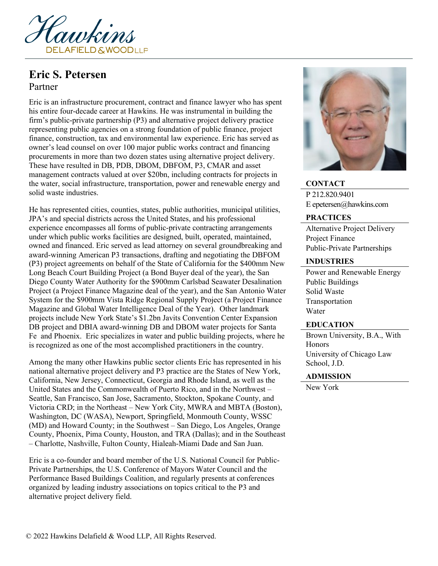

# **Eric S. Petersen** Partner

Eric is an infrastructure procurement, contract and finance lawyer who has spent his entire four-decade career at Hawkins. He was instrumental in building the firm's public-private partnership (P3) and alternative project delivery practice representing public agencies on a strong foundation of public finance, project finance, construction, tax and environmental law experience. Eric has served as owner's lead counsel on over 100 major public works contract and financing procurements in more than two dozen states using alternative project delivery. These have resulted in DB, PDB, DBOM, DBFOM, P3, CMAR and asset management contracts valued at over \$20bn, including contracts for projects in the water, social infrastructure, transportation, power and renewable energy and solid waste industries.

He has represented cities, counties, states, public authorities, municipal utilities, JPA's and special districts across the United States, and his professional experience encompasses all forms of public-private contracting arrangements under which public works facilities are designed, built, operated, maintained, owned and financed. Eric served as lead attorney on several groundbreaking and award-winning American P3 transactions, drafting and negotiating the DBFOM (P3) project agreements on behalf of the State of California for the \$400mm New Long Beach Court Building Project (a Bond Buyer deal of the year), the San Diego County Water Authority for the \$900mm Carlsbad Seawater Desalination Project (a Project Finance Magazine deal of the year), and the San Antonio Water System for the \$900mm Vista Ridge Regional Supply Project (a Project Finance Magazine and Global Water Intelligence Deal of the Year). Other landmark projects include New York State's \$1.2bn Javits Convention Center Expansion DB project and DBIA award-winning DB and DBOM water projects for Santa Fe and Phoenix. Eric specializes in water and public building projects, where he is recognized as one of the most accomplished practitioners in the country.

Among the many other Hawkins public sector clients Eric has represented in his national alternative project delivery and P3 practice are the States of New York, California, New Jersey, Connecticut, Georgia and Rhode Island, as well as the United States and the Commonwealth of Puerto Rico, and in the Northwest – Seattle, San Francisco, San Jose, Sacramento, Stockton, Spokane County, and Victoria CRD; in the Northeast – New York City, MWRA and MBTA (Boston), Washington, DC (WASA), Newport, Springfield, Monmouth County, WSSC (MD) and Howard County; in the Southwest – San Diego, Los Angeles, Orange County, Phoenix, Pima County, Houston, and TRA (Dallas); and in the Southeast – Charlotte, Nashville, Fulton County, Hialeah-Miami Dade and San Juan.

Eric is a co-founder and board member of the U.S. National Council for Public-Private Partnerships, the U.S. Conference of Mayors Water Council and the Performance Based Buildings Coalition, and regularly presents at conferences organized by leading industry associations on topics critical to the P3 and alternative project delivery field.



**CONTACT** P 212.820.9401 E epetersen@hawkins.com

#### **PRACTICES**

Alternative Project Delivery Project Finance Public-Private Partnerships

### **INDUSTRIES**

Power and Renewable Energy Public Buildings Solid Waste Transportation Water

#### **EDUCATION**

Brown University, B.A., With **Honors** University of Chicago Law School, J.D.

#### **ADMISSION**

New York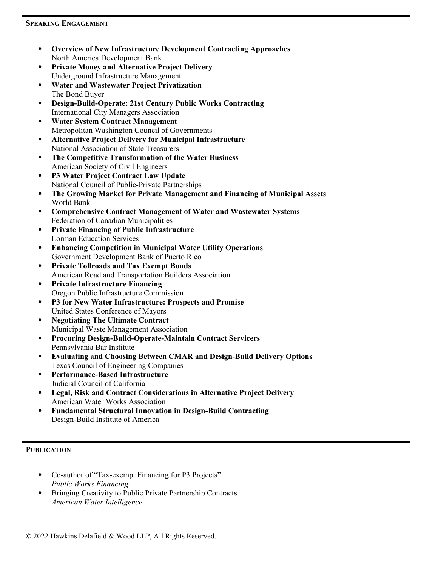- **Overview of New Infrastructure Development Contracting Approaches** North America Development Bank
- **Private Money and Alternative Project Delivery** Underground Infrastructure Management
- **Water and Wastewater Project Privatization** The Bond Buyer
- **Design-Build-Operate: 21st Century Public Works Contracting** International City Managers Association
- **Water System Contract Management** Metropolitan Washington Council of Governments
- **Alternative Project Delivery for Municipal Infrastructure** National Association of State Treasurers
- **The Competitive Transformation of the Water Business** American Society of Civil Engineers
- **P3 Water Project Contract Law Update** National Council of Public-Private Partnerships
- **The Growing Market for Private Management and Financing of Municipal Assets** World Bank
- **Comprehensive Contract Management of Water and Wastewater Systems** Federation of Canadian Municipalities
- **Private Financing of Public Infrastructure** Lorman Education Services
- **Enhancing Competition in Municipal Water Utility Operations** Government Development Bank of Puerto Rico
- **Private Tollroads and Tax Exempt Bonds** American Road and Transportation Builders Association
- **Private Infrastructure Financing** Oregon Public Infrastructure Commission
- **P3 for New Water Infrastructure: Prospects and Promise** United States Conference of Mayors
- **Negotiating The Ultimate Contract** Municipal Waste Management Association
- **Procuring Design-Build-Operate-Maintain Contract Servicers** Pennsylvania Bar Institute
- **Evaluating and Choosing Between CMAR and Design-Build Delivery Options** Texas Council of Engineering Companies
- **Performance-Based Infrastructure** Judicial Council of California
- **Legal, Risk and Contract Considerations in Alternative Project Delivery** American Water Works Association
- **Fundamental Structural Innovation in Design-Build Contracting** Design-Build Institute of America

## **PUBLICATION**

- Co-author of "Tax-exempt Financing for P3 Projects" *Public Works Financing*
- Bringing Creativity to Public Private Partnership Contracts *American Water Intelligence*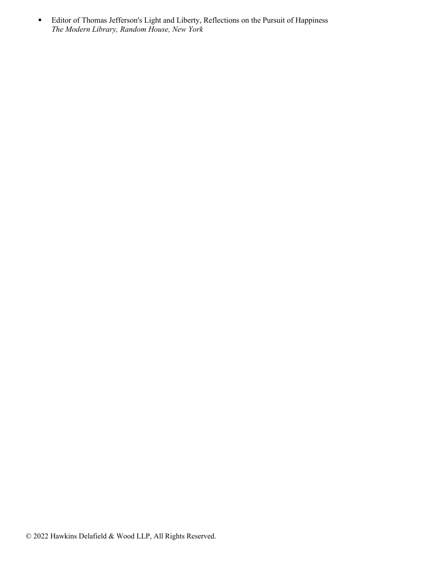Editor of Thomas Jefferson's Light and Liberty, Reflections on the Pursuit of Happiness *The Modern Library, Random House, New York*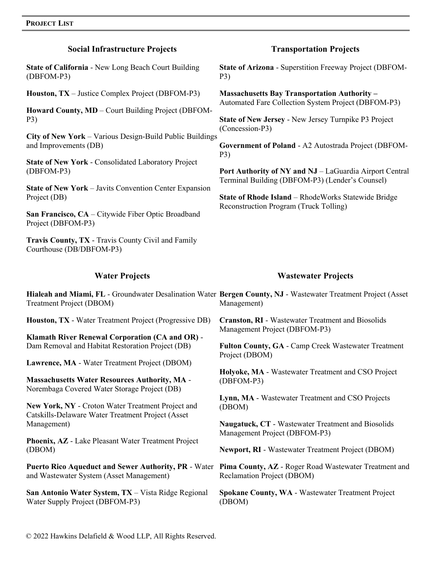| <b>Social Infrastructure Projects</b>                                                                                                                                                                                                                                                                                                                                                                                                                                                                                   | <b>Transportation Projects</b>                                                                                                                                                                                                                                                                                                                                                                                                                                      |
|-------------------------------------------------------------------------------------------------------------------------------------------------------------------------------------------------------------------------------------------------------------------------------------------------------------------------------------------------------------------------------------------------------------------------------------------------------------------------------------------------------------------------|---------------------------------------------------------------------------------------------------------------------------------------------------------------------------------------------------------------------------------------------------------------------------------------------------------------------------------------------------------------------------------------------------------------------------------------------------------------------|
| <b>State of California - New Long Beach Court Building</b><br>(DBFOM-P3)                                                                                                                                                                                                                                                                                                                                                                                                                                                | <b>State of Arizona - Superstition Freeway Project (DBFOM-</b><br>P3)                                                                                                                                                                                                                                                                                                                                                                                               |
| Houston, TX – Justice Complex Project (DBFOM-P3)<br>Howard County, MD - Court Building Project (DBFOM-<br>P3)<br>City of New York - Various Design-Build Public Buildings<br>and Improvements (DB)<br><b>State of New York - Consolidated Laboratory Project</b><br>(DBFOM-P3)<br><b>State of New York – Javits Convention Center Expansion</b><br>Project (DB)<br>San Francisco, CA – Citywide Fiber Optic Broadband                                                                                                   | <b>Massachusetts Bay Transportation Authority -</b><br>Automated Fare Collection System Project (DBFOM-P3)<br>State of New Jersey - New Jersey Turnpike P3 Project<br>(Concession-P3)<br>Government of Poland - A2 Autostrada Project (DBFOM-<br>P3)<br>Port Authority of NY and NJ - LaGuardia Airport Central<br>Terminal Building (DBFOM-P3) (Lender's Counsel)<br>State of Rhode Island - RhodeWorks Statewide Bridge<br>Reconstruction Program (Truck Tolling) |
| Project (DBFOM-P3)<br>Travis County, TX - Travis County Civil and Family<br>Courthouse (DB/DBFOM-P3)                                                                                                                                                                                                                                                                                                                                                                                                                    |                                                                                                                                                                                                                                                                                                                                                                                                                                                                     |
|                                                                                                                                                                                                                                                                                                                                                                                                                                                                                                                         |                                                                                                                                                                                                                                                                                                                                                                                                                                                                     |
| <b>Water Projects</b><br>Treatment Project (DBOM)                                                                                                                                                                                                                                                                                                                                                                                                                                                                       | <b>Wastewater Projects</b><br>Hialeah and Miami, FL - Groundwater Desalination Water Bergen County, NJ - Wastewater Treatment Project (Asset<br>Management)                                                                                                                                                                                                                                                                                                         |
| Houston, TX - Water Treatment Project (Progressive DB)<br><b>Klamath River Renewal Corporation (CA and OR) -</b><br>Dam Removal and Habitat Restoration Project (DB)<br>Lawrence, MA - Water Treatment Project (DBOM)<br><b>Massachusetts Water Resources Authority, MA -</b><br>Norembaga Covered Water Storage Project (DB)<br>New York, NY - Croton Water Treatment Project and<br>Catskills-Delaware Water Treatment Project (Asset<br>Management)<br>Phoenix, AZ - Lake Pleasant Water Treatment Project<br>(DBOM) | <b>Cranston, RI - Wastewater Treatment and Biosolids</b><br>Management Project (DBFOM-P3)<br>Fulton County, GA - Camp Creek Wastewater Treatment<br>Project (DBOM)<br>Holyoke, MA - Wastewater Treatment and CSO Project<br>(DBFOM-P3)<br>Lynn, MA - Wastewater Treatment and CSO Projects<br>(DBOM)<br>Naugatuck, CT - Wastewater Treatment and Biosolids<br>Management Project (DBFOM-P3)<br><b>Newport, RI - Wastewater Treatment Project (DBOM)</b>             |

**San Antonio Water System, TX** – Vista Ridge Regional Water Supply Project (DBFOM-P3)

**Spokane County, WA** - Wastewater Treatment Project (DBOM)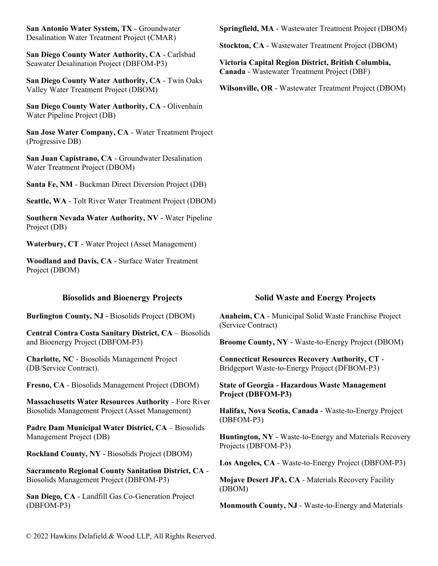**San Antonio Water System, TX** - Groundwater Desalination Water Treatment Project (CMAR)

**San Diego County Water Authority, CA** - Carlsbad Seawater Desalination Project (DBFOM-P3)

**San Diego County Water Authority, CA** - Twin Oaks Valley Water Treatment Project (DBOM)

**San Diego County Water Authority, CA** - Olivenhain Water Pipeline Project (DB)

**San Jose Water Company, CA** - Water Treatment Project (Progressive DB)

**San Juan Capistrano, CA** - Groundwater Desalination Water Treatment Project (DBOM)

**Santa Fe, NM** - Buckman Direct Diversion Project (DB)

**Seattle, WA** - Tolt River Water Treatment Project (DBOM)

**Southern Nevada Water Authority, NV** - Water Pipeline Project (DB)

**Waterbury, CT** - Water Project (Asset Management)

**Woodland and Davis, CA** - Surface Water Treatment Project (DBOM)

**Burlington County, NJ** - Biosolids Project (DBOM)

**Central Contra Costa Sanitary District, CA** – Biosolids and Bioenergy Project (DBFOM-P3)

**Charlotte, NC** - Biosolids Management Project (DB/Service Contract).

**Fresno, CA** - Biosolids Management Project (DBOM)

**Massachusetts Water Resources Authority** - Fore River Biosolids Management Project (Asset Management)

**Padre Dam Municipal Water District, CA** – Biosolids Management Project (DB)

**Rockland County, NY** - Biosolids Project (DBOM)

**Sacramento Regional County Sanitation District, CA** - Biosolids Management Project (DBFOM-P3)

**San Diego, CA** - Landfill Gas Co-Generation Project (DBFOM-P3)

**Springfield, MA** - Wastewater Treatment Project (DBOM)

**Stockton, CA** - Wastewater Treatment Project (DBOM)

**Victoria Capital Region District, British Columbia, Canada** - Wastewater Treatment Project (DBF)

**Wilsonville, OR** - Wastewater Treatment Project (DBOM)

#### **Biosolids and Bioenergy Projects Solid Waste and Energy Projects**

**Anaheim, CA** - Municipal Solid Waste Franchise Project (Service Contract)

**Broome County, NY** - Waste-to-Energy Project (DBOM)

**Connecticut Resources Recovery Authority, CT** - Bridgeport Waste-to-Energy Project (DFBOM-P3)

**State of Georgia - Hazardous Waste Management Project (DBFOM-P3)**

**Halifax, Nova Scotia, Canada** - Waste-to-Energy Project (DBFOM-P3)

**Huntington, NY** - Waste-to-Energy and Materials Recovery Projects (DBFOM-P3)

**Los Angeles, CA** - Waste-to-Energy Project (DBFOM-P3)

**Mojave Desert JPA, CA** - Materials Recovery Facility (DBOM)

**Monmouth County, NJ** - Waste-to-Energy and Materials